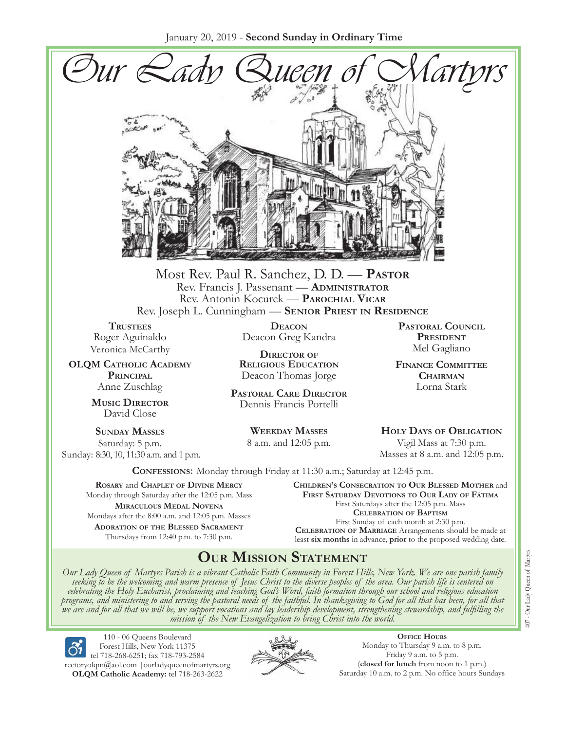January 20, 2019 - **Second Sunday in Ordinary Time**



Most Rev. Paul R. Sanchez, D. D. — **Pastor** Rev. Francis J. Passenant — **Administrator** Rev. Antonin Kocurek — **Parochial Vicar** Rev. Joseph L. Cunningham — **Senior Priest in Residence**

**TRUSTEES** Roger Aguinaldo Veronica McCarthy

**OLQM Catholic Academy Principal** Anne Zuschlag

> **Music Director** David Close

**Sunday Masses** Saturday: 5 p.m. Sunday: 8:30, 10, 11:30 a.m. and 1 p.m.

**Deacon** Deacon Greg Kandra

**Director of Religious Education** Deacon Thomas Jorge

**Pastoral Care Director** Dennis Francis Portelli

> **Weekday Masses** 8 a.m. and 12:05 p.m.

**Pastoral Council** PRESIDENT Mel Gagliano

**Finance Committee Chairman** Lorna Stark

**Holy Days of Obligation** Vigil Mass at 7:30 p.m. Masses at 8 a.m. and 12:05 p.m.

**Confessions:** Monday through Friday at 11:30 a.m.; Saturday at 12:45 p.m.

**Rosary** and **Chaplet of Divine Mercy** Monday through Saturday after the 12:05 p.m. Mass **Miraculous Medal Novena** Mondays after the 8:00 a.m. and 12:05 p.m. Masses **Adoration of the Blessed Sacrament** Thursdays from 12:40 p.m. to 7:30 p.m.

**Children's Consecration to Our Blessed Mother** and **First Saturday Devotions to Our Lady of Fátima** First Saturdays after the 12:05 p.m. Mass **Celebration of Baptism** First Sunday of each month at 2:30 p.m. **Celebration of Marriage** Arrangements should be made at least **six months** in advance, **prior** to the proposed wedding date.

# **Our Mission Statement**

Our Lady Queen of Martyrs Parish is a vibrant Catholic Faith Community in Forest Hills, New York. We are one parish family<br>seeking to be the welcoming and warm presence of Jesus Christ to the diverse peoples of the area. O *celebrating the Holy Eucharist, proclaiming and teaching God's Word, faith formation through our school and religious education*  we are and for all that we will be, we support vocations and lay leadership development, strengthening stewardship, and fulfilling the<br>mission of the New Evangelization to bring Christ into the world.

110 - 06 Queens Boulevard Forest Hills, New York 11375 tel 718-268-6251; fax 718-793-2584 [rectoryolqm@aol.com](mailto:rectoryolqm@aol.com) **|**[ourladyqueenofmartyrs.org](www.ourladyqueenofmartyrs.org) **OLQM Catholic Academy:** tel 718-263-2622



**Office Hours** Monday to Thursday 9 a.m. to 8 p.m. Friday 9 a.m. to 5 p.m. (**closed for lunch** from noon to 1 p.m.) Saturday 10 a.m. to 2 p.m. No office hours Sundays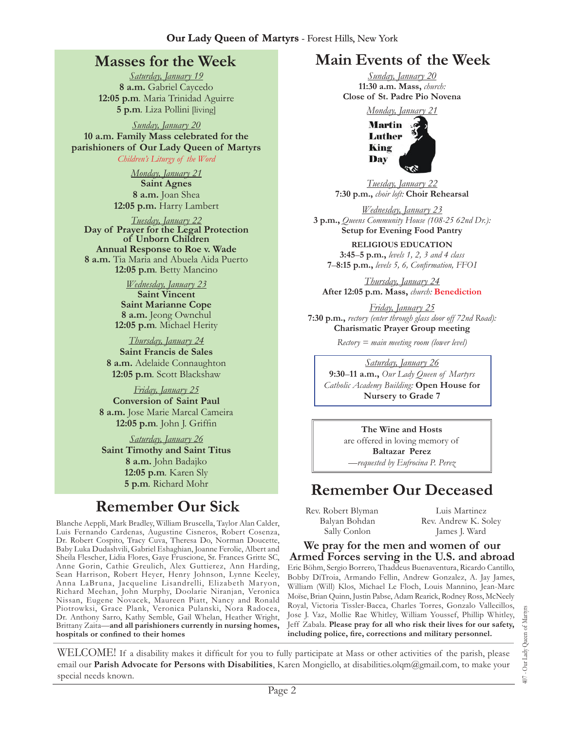### **Masses for the Week**

*Saturday, January 19*  **8 a.m.** Gabriel Caycedo **12:05 p.m***.* Maria Trinidad Aguirre **5 p.m***.* Liza Pollini [living]

*Sunday, January 20*  **10 a.m. Family Mass celebrated for the parishioners of Our Lady Queen of Martyrs** *Children's Liturgy of the Word* 

> *Monday, January 21*  **Saint Agnes 8 a.m.** Joan Shea **12:05 p.m.** Harry Lambert

*Tuesday, January 22*  **Day of Prayer for the Legal Protection of Unborn Children Annual Response to Roe v. Wade 8 a.m.** Tia Maria and Abuela Aida Puerto **12:05 p.m***.* Betty Mancino

> *Wednesday, January 23*  **Saint Vincent Saint Marianne Cope 8 a.m.** Jeong Ownchul **12:05 p.m***.* Michael Herity

*Thursday, January 24*  **Saint Francis de Sales 8 a.m.** Adelaide Connaughton **12:05 p.m***.* Scott Blackshaw

*Friday, January 25*  **Conversion of Saint Paul 8 a.m.** Jose Marie Marcal Cameira **12:05 p.m***.* John J. Griffin

*Saturday, January 26*  **Saint Timothy and Saint Titus 8 a.m.** John Badajko **12:05 p.m***.* Karen Sly **5 p.m***.* Richard Mohr

# **Remember Our Sick**

Blanche Aeppli, Mark Bradley, William Bruscella, Taylor Alan Calder, Luis Fernando Cardenas, Augustine Cisneros, Robert Cosenza, Dr. Robert Cospito, Tracy Cuva, Theresa Do, Norman Doucette, Baby Luka Dudashvili, Gabriel Eshaghian, Joanne Ferolie, Albert and Sheila Flescher, Lidia Flores, Gaye Fruscione, Sr. Frances Gritte SC, Anne Gorin, Cathie Greulich, Alex Guttierez, Ann Harding, Sean Harrison, Robert Heyer, Henry Johnson, Lynne Keeley, Anna LaBruna, Jacqueline Lisandrelli, Elizabeth Maryon, Richard Meehan, John Murphy, Doolarie Niranjan, Veronica Nissan, Eugene Novacek, Maureen Piatt, Nancy and Ronald Piotrowksi, Grace Plank, Veronica Pulanski, Nora Radocea, Dr. Anthony Sarro, Kathy Semble, Gail Whelan, Heather Wright, Brittany Zaita—**and all parishioners currently in nursing homes, hospitals or confined to their homes**

# **Main Events of the Week**

*Sunday, January 20*  **11:30 a.m. Mass,** *church:*  **Close of St. Padre Pio Novena**

*Monday, January 21* 



*Tuesday, January 22*  **7:30 p.m.,** *choir loft:* **Choir Rehearsal**

*Wednesday, January 23* **3 p.m.,** *Queens Community House (108-25 62nd Dr.):*  **Setup for Evening Food Pantry**

**Religious Education 3:45**–**5 p.m.,** *levels 1, 2, 3 and 4 class*  **7**–**8:15 p.m.,** *levels 5, 6, Confirmation, FFO  I*

*Thursday, January 24*  **After 12:05 p.m. Mass,** *church:* **Benediction**

*Friday, January 25*  **7:30 p.m.,** *rectory (enter through glass door off 72nd Road):*  **Charismatic Prayer Group meeting**

*Rectory = main meeting room (lower level)*

*Saturday, January 26* **9:30**–**11 a.m.,** *Our Lady Queen of Martyrs Catholic Academy Building:* **Open House for Nursery to Grade 7** 

> **The Wine and Hosts**  are offered in loving memory of **Baltazar Perez** —*requested by Eufrocina P. Perez*

# **Remember Our Deceased**

Rev. Robert Blyman Balyan Bohdan Sally Conlon

Luis Martinez Rev. Andrew K. Soley James J. Ward

**We pray for the men and women of our Armed Forces serving in the U.S. and abroad**

Eric Böhm, Sergio Borrero, Thaddeus Buenaventura, Ricardo Cantillo, Bobby DiTroia, Armando Fellin, Andrew Gonzalez, A. Jay James, William (Will) Klos, Michael Le Floch, Louis Mannino, Jean-Marc Moïse, Brian Quinn, Justin Pabse, Adam Rearick, Rodney Ross, McNeely Royal, Victoria Tissler-Bacca, Charles Torres, Gonzalo Vallecillos, Jose J. Vaz, Mollie Rae Whitley, William Youssef, Phillip Whitley, Jeff Zabala. **Please pray for all who risk their lives for our safety, including police, fire, corrections and military personnel.**

WELCOME! If a disability makes it difficult for you to fully participate at Mass or other activities of the parish, please email our **Parish Advocate for Persons with Disabilities**, Karen Mongiello, at [disabilities.olqm@gmail.com,](mailto:disabilities.olqm@gmail.com) to make your special needs known.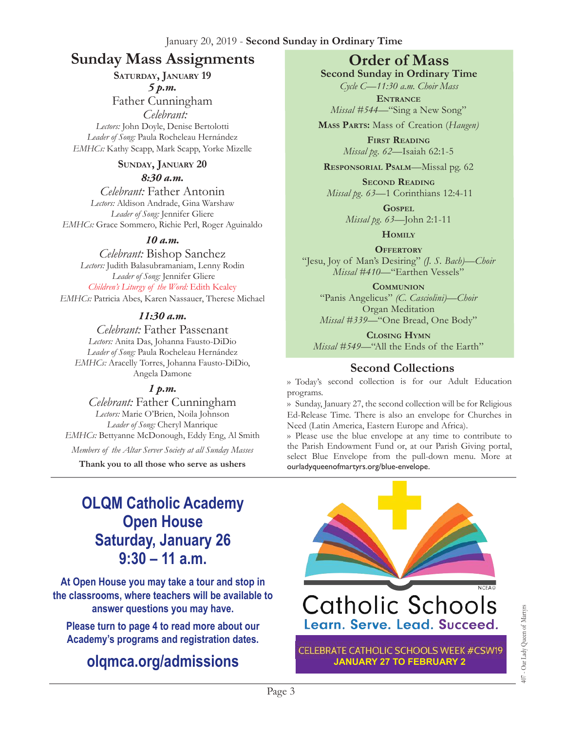### **Sunday Mass Assignments Order of Mass**

**Saturday, January 19** *5 p.m.* 

Father Cunningham  *Celebrant:* 

*Lectors:* John Doyle, Denise Bertolotti *Leader of Song:* Paula Rocheleau Hernández *EMHCs:* Kathy Scapp, Mark Scapp, Yorke Mizelle

#### **Sunday, January 20**

*8:30 a.m.* 

*Celebrant:* Father Antonin *Lectors:* Aldison Andrade, Gina Warshaw *Leader of Song:* Jennifer Gliere *EMHCs:* Grace Sommero, Richie Perl, Roger Aguinaldo

#### *10 a.m.*

*Celebrant:* Bishop Sanchez *Lectors:* Judith Balasubramaniam, Lenny Rodin *Leader of Song:* Jennifer Gliere *Children's Liturgy of the Word:* Edith Kealey *EMHCs:* Patricia Abes, Karen Nassauer, Therese Michael

#### *11:30 a.m.*

*Celebrant:* Father Passenant *Lectors:* Anita Das, Johanna Fausto-DiDio *Leader of Song:* Paula Rocheleau Hernández *EMHCs:* Aracelly Torres, Johanna Fausto-DiDio, Angela Damone

#### *1 p.m.*

*Celebrant:* Father Cunningham *Lectors:* Marie O'Brien, Noila Johnson *Leader of Song:* Cheryl Manrique *EMHCs:* Bettyanne McDonough, Eddy Eng, Al Smith *Members of the Altar Server Society at all Sunday Masses*

**Thank you to all those who serve as ushers**

**Second Sunday in Ordinary Time**  *Cycle C—11:30 a.m. Choir Mass*

**Entrance** *Missal #544—*"Sing a New Song"

**Mass Parts:** Mass of Creation (*Haugen)*

**First Reading** *Missal pg. 62—*Isaiah 62:1-5

**Responsorial Psalm**—Missal pg. 62

**Second Reading** *Missal pg. 63—*1 Corinthians 12:4-11

> **Gospel** *Missal pg. 63—*John 2:1-11

> > **Homily**

**OFFERTORY** "Jesu, Joy of Man's Desiring" *(J. S. Bach)—Choir Missal #410—*"Earthen Vessels"

**Communion** "Panis Angelicus" *(C. Casciolini)—Choir* Organ Meditation *Missal #339—*"One Bread, One Body"

**Closing Hymn** *Missal #549*—"All the Ends of the Earth"

#### **Second Collections**

›› Today's second collection is for our Adult Education programs.

›› Sunday, January 27, the second collection will be for Religious Ed-Release Time. There is also an envelope for Churches in Need (Latin America, Eastern Europe and Africa).

›› Please use the blue envelope at any time to contribute to the Parish Endowment Fund or, at our Parish Giving portal, select Blue Envelope from the pull-down menu. More at ourladyqueenofmartyrs.org/blue-envelope.

# **OLQM Catholic Academy Open House Saturday, January 26 9:30 – 11 a.m.**

**At Open House you may take a tour and stop in the classrooms, where teachers will be available to answer questions you may have.** 

**Please turn to page 4 to read more about our Academy's programs and registration dates.** 

# **[olqmca.org/admissions](https://olqmca.org/admissions/)**

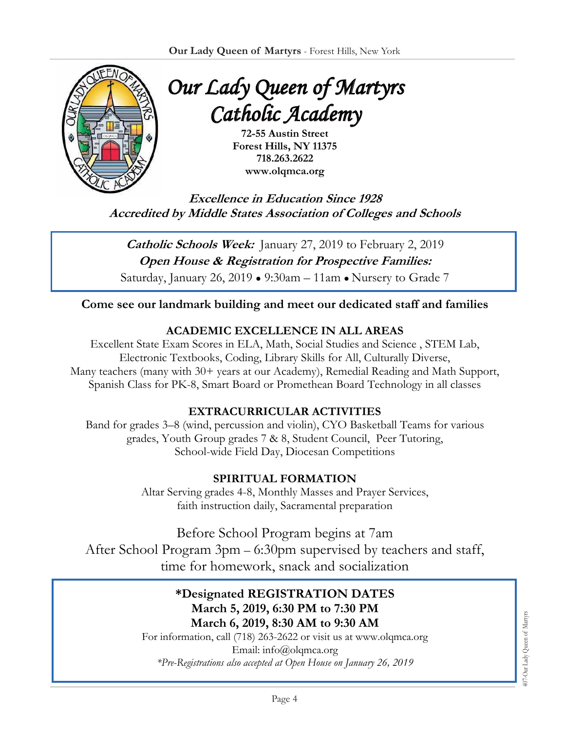

*Our Lady Queen of Martyrs Catholic Academy*

> **72-55 Austin Street Forest Hills, NY 11375 718.263.2622 www.olqmca.org**

**Excellence in Education Since 1928 Accredited by Middle States Association of Colleges and Schools** 

**Catholic Schools Week:** January 27, 2019 to February 2, 2019 **Open House & Registration for Prospective Families:**  Saturday, January 26, 2019 ● 9:30am – 11am ● Nursery to Grade 7

#### **Come see our landmark building and meet our dedicated staff and families**

#### **ACADEMIC EXCELLENCE IN ALL AREAS**

Excellent State Exam Scores in ELA, Math, Social Studies and Science , STEM Lab, Electronic Textbooks, Coding, Library Skills for All, Culturally Diverse, Many teachers (many with 30+ years at our Academy), Remedial Reading and Math Support, Spanish Class for PK-8, Smart Board or Promethean Board Technology in all classes

#### **EXTRACURRICULAR ACTIVITIES**

Band for grades 3–8 (wind, percussion and violin), CYO Basketball Teams for various grades, Youth Group grades 7 & 8, Student Council, Peer Tutoring, School-wide Field Day, Diocesan Competitions

#### **SPIRITUAL FORMATION**

Altar Serving grades 4-8, Monthly Masses and Prayer Services, faith instruction daily, Sacramental preparation

Before School Program begins at 7am After School Program 3pm – 6:30pm supervised by teachers and staff, time for homework, snack and socialization

#### **\*Designated REGISTRATION DATES March 5, 2019, 6:30 PM to 7:30 PM March 6, 2019, 8:30 AM to 9:30 AM**

For information, call (718) 263-2622 or visit us at www.olqmca.org Email: info@olqmca.org *\*Pre-Registrations also accepted at Open House on January 26, 2019*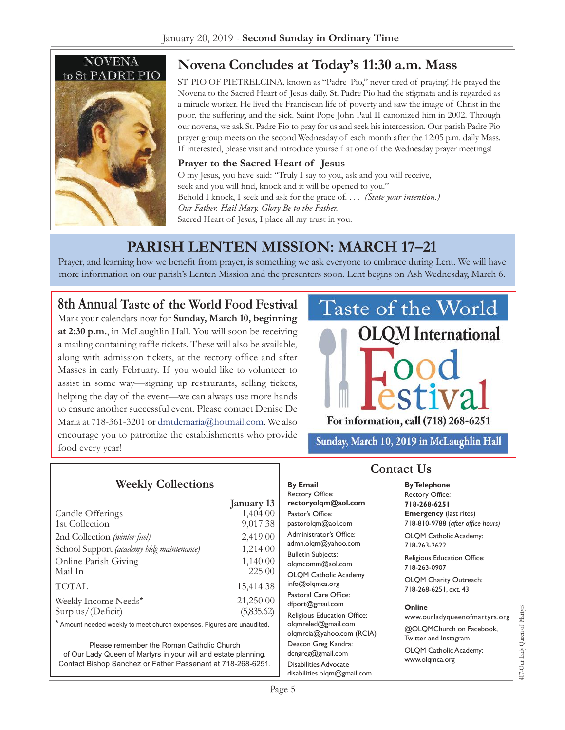

# **Novena Concludes at Today's 11:30 a.m. Mass**

ST. PIO OF PIETRELCINA, known as "Padre Pio," never tired of praying! He prayed the Novena to the Sacred Heart of Jesus daily. St. Padre Pio had the stigmata and is regarded as a miracle worker. He lived the Franciscan life of poverty and saw the image of Christ in the poor, the suffering, and the sick. Saint Pope John Paul II canonized him in 2002. Through our novena, we ask St. Padre Pio to pray for us and seek his intercession. Our parish Padre Pio prayer group meets on the second Wednesday of each month after the 12:05 p.m. daily Mass. If interested, please visit and introduce yourself at one of the Wednesday prayer meetings!

#### **Prayer to the Sacred Heart of Jesus**

O my Jesus, you have said: "Truly I say to you, ask and you will receive, seek and you will find, knock and it will be opened to you." Behold I knock, I seek and ask for the grace of. . . . *(State your intention.) Our Father. Hail Mary. Glory Be to the Father.* Sacred Heart of Jesus, I place all my trust in you.

# **Parish Lenten Mission: March 17–21**

Prayer, and learning how we benefit from prayer, is something we ask everyone to embrace during Lent. We will have more information on our parish's Lenten Mission and the presenters soon. Lent begins on Ash Wednesday, March 6.

#### **8th Annual Taste of the World Food Festival**

Mark your calendars now for **Sunday, March 10, beginning at 2:30 p.m.**, in McLaughlin Hall. You will soon be receiving a mailing containing raffle tickets. These will also be available, along with admission tickets, at the rectory office and after Masses in early February. If you would like to volunteer to assist in some way—signing up restaurants, selling tickets, helping the day of the event—we can always use more hands to ensure another successful event. Please contact Denise De Maria at 718-361-3201 or [dmtdemaria@hotmail.com.](mailto:dmtdemaria@hotmail.com) We also encourage you to patronize the establishments who provide food every year!

**Weekly Collections**



Sunday, March 10, 2019 in McLaughlin Hall

**By Telephone**

| $-0.44$ $-0.44$                                                        |            |                                                |                                             |
|------------------------------------------------------------------------|------------|------------------------------------------------|---------------------------------------------|
|                                                                        |            | Rectory Office:                                | <b>Rectory Office:</b>                      |
|                                                                        | January 13 | rectoryolqm@aol.com                            | 718-268-6251                                |
| Candle Offerings                                                       | 1,404.00   | Pastor's Office:                               | <b>Emergency</b> (last rites)               |
| 1st Collection                                                         | 9,017.38   | pastorolqm@aol.com                             | 718-810-9788 (after office hours)           |
| 2nd Collection (winter fuel)                                           | 2,419.00   | Administrator's Office:<br>admn.olqm@yahoo.com | OLQM Catholic Academy:<br>718-263-2622      |
| School Support (academy bldg maintenance)                              | 1,214.00   |                                                |                                             |
|                                                                        |            | <b>Bulletin Subjects:</b>                      | Religious Education Office:<br>718-263-0907 |
| Online Parish Giving                                                   | 1,140.00   | olgmcomm@aol.com                               |                                             |
| Mail In                                                                | 225.00     | <b>OLOM Catholic Academy</b>                   | OLQM Charity Outreach:                      |
| TOTAL                                                                  | 15,414.38  | info@olgmca.org                                | 718-268-6251, ext. 43                       |
|                                                                        |            | Pastoral Care Office:                          |                                             |
| Weekly Income Needs*                                                   | 21,250.00  | dfport@gmail.com                               | Online<br>www.ourladyqueenofmartyrs.org     |
| Surplus/(Deficit)                                                      | (5,835.62) | Religious Education Office:                    |                                             |
| * Amount needed weekly to meet church expenses. Figures are unaudited. |            | olgmreled@gmail.com                            |                                             |
|                                                                        |            | olqmrcia@yahoo.com (RCIA)                      | @OLQMChurch on Facebook,                    |
| Please remember the Roman Catholic Church                              |            | Twitter and Instagram<br>Deacon Greg Kandra:   |                                             |
| of Our Lady Queen of Martyrs in your will and estate planning.         |            | dcngreg@gmail.com                              | OLQM Catholic Academy:<br>www.olgmca.org    |
| Contact Bishop Sanchez or Father Passenant at 718-268-6251.            |            | <b>Disabilities Advocate</b>                   |                                             |
|                                                                        |            |                                                |                                             |

**By Email**

407-Our Lady Queen of Martyrs 107-Our Lady Queen of Marty

[disabilities.olqm@gmail.com](mailto:disabilities.olqm@gmail.com)